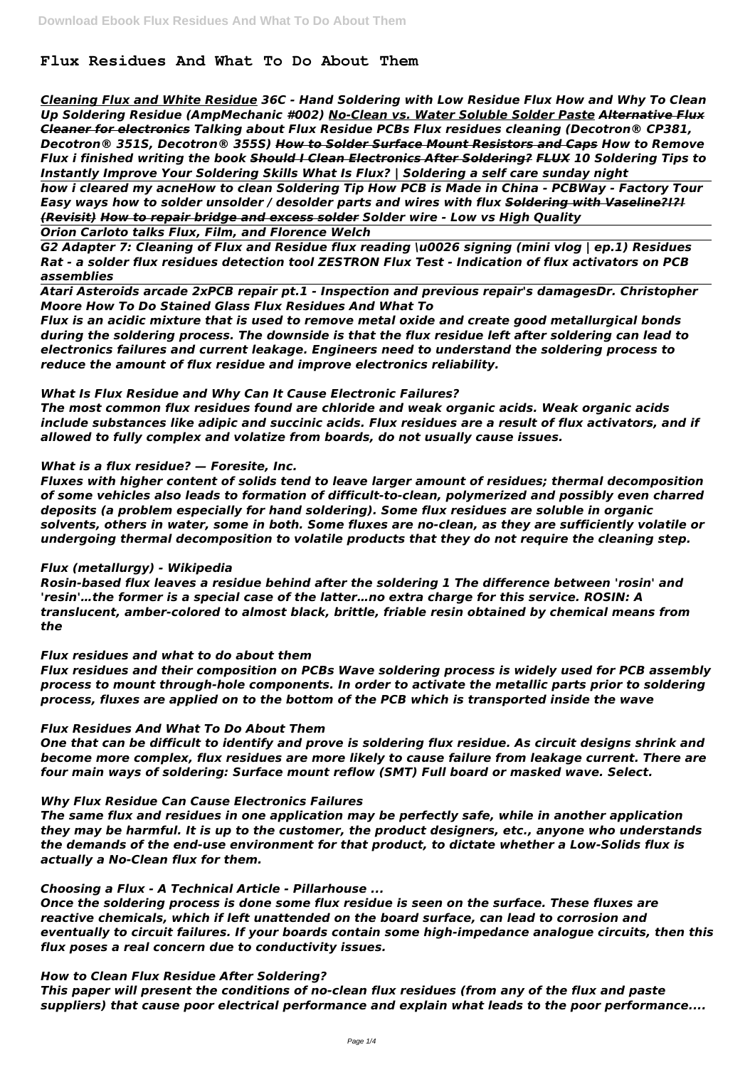*Cleaning Flux and White Residue 36C - Hand Soldering with Low Residue Flux How and Why To Clean Up Soldering Residue (AmpMechanic #002) No-Clean vs. Water Soluble Solder Paste Alternative Flux Cleaner for electronics Talking about Flux Residue PCBs Flux residues cleaning (Decotron® CP381, Decotron® 351S, Decotron® 355S) How to Solder Surface Mount Resistors and Caps How to Remove Flux i finished writing the book Should I Clean Electronics After Soldering? FLUX 10 Soldering Tips to Instantly Improve Your Soldering Skills What Is Flux? | Soldering a self care sunday night* 

# **Flux Residues And What To Do About Them**

*how i cleared my acneHow to clean Soldering Tip How PCB is Made in China - PCBWay - Factory Tour Easy ways how to solder unsolder / desolder parts and wires with flux Soldering with Vaseline?!?! (Revisit) How to repair bridge and excess solder Solder wire - Low vs High Quality*

*Orion Carloto talks Flux, Film, and Florence Welch*

*G2 Adapter 7: Cleaning of Flux and Residue flux reading \u0026 signing (mini vlog | ep.1) Residues Rat - a solder flux residues detection tool ZESTRON Flux Test - Indication of flux activators on PCB assemblies* 

*Atari Asteroids arcade 2xPCB repair pt.1 - Inspection and previous repair's damagesDr. Christopher Moore How To Do Stained Glass Flux Residues And What To*

*Flux is an acidic mixture that is used to remove metal oxide and create good metallurgical bonds during the soldering process. The downside is that the flux residue left after soldering can lead to electronics failures and current leakage. Engineers need to understand the soldering process to reduce the amount of flux residue and improve electronics reliability.*

## *What Is Flux Residue and Why Can It Cause Electronic Failures?*

*The most common flux residues found are chloride and weak organic acids. Weak organic acids include substances like adipic and succinic acids. Flux residues are a result of flux activators, and if allowed to fully complex and volatize from boards, do not usually cause issues.*

## *What is a flux residue? — Foresite, Inc.*

*Fluxes with higher content of solids tend to leave larger amount of residues; thermal decomposition of some vehicles also leads to formation of difficult-to-clean, polymerized and possibly even charred deposits (a problem especially for hand soldering). Some flux residues are soluble in organic solvents, others in water, some in both. Some fluxes are no-clean, as they are sufficiently volatile or undergoing thermal decomposition to volatile products that they do not require the cleaning step.*

#### *Flux (metallurgy) - Wikipedia*

*Rosin-based flux leaves a residue behind after the soldering 1 The difference between 'rosin' and 'resin'…the former is a special case of the latter…no extra charge for this service. ROSIN: A translucent, amber-colored to almost black, brittle, friable resin obtained by chemical means from the*

## *Flux residues and what to do about them*

*Flux residues and their composition on PCBs Wave soldering process is widely used for PCB assembly process to mount through-hole components. In order to activate the metallic parts prior to soldering process, fluxes are applied on to the bottom of the PCB which is transported inside the wave*

## *Flux Residues And What To Do About Them*

*One that can be difficult to identify and prove is soldering flux residue. As circuit designs shrink and become more complex, flux residues are more likely to cause failure from leakage current. There are four main ways of soldering: Surface mount reflow (SMT) Full board or masked wave. Select.*

#### *Why Flux Residue Can Cause Electronics Failures*

*The same flux and residues in one application may be perfectly safe, while in another application they may be harmful. It is up to the customer, the product designers, etc., anyone who understands the demands of the end-use environment for that product, to dictate whether a Low-Solids flux is actually a No-Clean flux for them.*

*Choosing a Flux - A Technical Article - Pillarhouse ...*

*Once the soldering process is done some flux residue is seen on the surface. These fluxes are reactive chemicals, which if left unattended on the board surface, can lead to corrosion and eventually to circuit failures. If your boards contain some high-impedance analogue circuits, then this flux poses a real concern due to conductivity issues.*

*How to Clean Flux Residue After Soldering?*

*This paper will present the conditions of no-clean flux residues (from any of the flux and paste suppliers) that cause poor electrical performance and explain what leads to the poor performance....*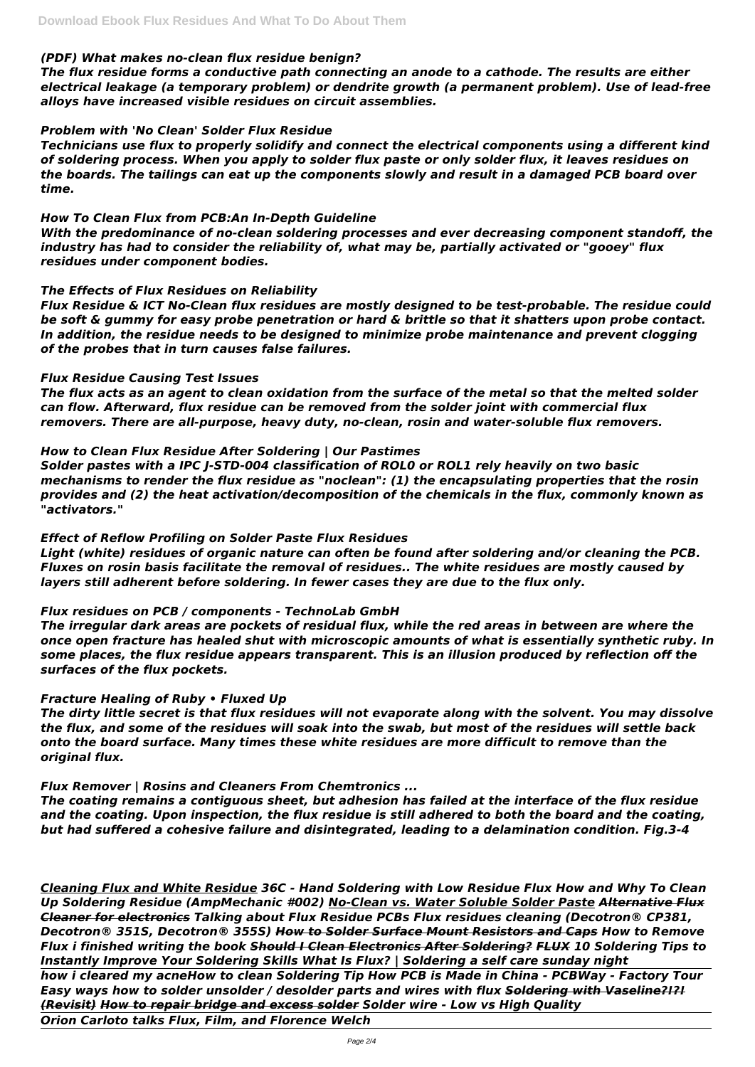### *(PDF) What makes no-clean flux residue benign?*

*The flux residue forms a conductive path connecting an anode to a cathode. The results are either electrical leakage (a temporary problem) or dendrite growth (a permanent problem). Use of lead-free alloys have increased visible residues on circuit assemblies.*

### *Problem with 'No Clean' Solder Flux Residue*

*Technicians use flux to properly solidify and connect the electrical components using a different kind of soldering process. When you apply to solder flux paste or only solder flux, it leaves residues on the boards. The tailings can eat up the components slowly and result in a damaged PCB board over time.*

### *How To Clean Flux from PCB:An In-Depth Guideline*

*With the predominance of no-clean soldering processes and ever decreasing component standoff, the industry has had to consider the reliability of, what may be, partially activated or "gooey" flux residues under component bodies.*

### *The Effects of Flux Residues on Reliability*

*Flux Residue & ICT No-Clean flux residues are mostly designed to be test-probable. The residue could be soft & gummy for easy probe penetration or hard & brittle so that it shatters upon probe contact. In addition, the residue needs to be designed to minimize probe maintenance and prevent clogging of the probes that in turn causes false failures.*

### *Flux Residue Causing Test Issues*

*The flux acts as an agent to clean oxidation from the surface of the metal so that the melted solder can flow. Afterward, flux residue can be removed from the solder joint with commercial flux removers. There are all-purpose, heavy duty, no-clean, rosin and water-soluble flux removers.*

#### *How to Clean Flux Residue After Soldering | Our Pastimes*

*Solder pastes with a IPC J-STD-004 classification of ROL0 or ROL1 rely heavily on two basic mechanisms to render the flux residue as "noclean": (1) the encapsulating properties that the rosin provides and (2) the heat activation/decomposition of the chemicals in the flux, commonly known as "activators."*

## *Effect of Reflow Profiling on Solder Paste Flux Residues*

*Light (white) residues of organic nature can often be found after soldering and/or cleaning the PCB. Fluxes on rosin basis facilitate the removal of residues.. The white residues are mostly caused by layers still adherent before soldering. In fewer cases they are due to the flux only.*

## *Flux residues on PCB / components - TechnoLab GmbH*

*The irregular dark areas are pockets of residual flux, while the red areas in between are where the once open fracture has healed shut with microscopic amounts of what is essentially synthetic ruby. In some places, the flux residue appears transparent. This is an illusion produced by reflection off the surfaces of the flux pockets.*

## *Fracture Healing of Ruby • Fluxed Up*

*The dirty little secret is that flux residues will not evaporate along with the solvent. You may dissolve the flux, and some of the residues will soak into the swab, but most of the residues will settle back onto the board surface. Many times these white residues are more difficult to remove than the original flux.*

## *Flux Remover | Rosins and Cleaners From Chemtronics ...*

*The coating remains a contiguous sheet, but adhesion has failed at the interface of the flux residue*

*and the coating. Upon inspection, the flux residue is still adhered to both the board and the coating, but had suffered a cohesive failure and disintegrated, leading to a delamination condition. Fig.3-4*

*Cleaning Flux and White Residue 36C - Hand Soldering with Low Residue Flux How and Why To Clean Up Soldering Residue (AmpMechanic #002) No-Clean vs. Water Soluble Solder Paste Alternative Flux Cleaner for electronics Talking about Flux Residue PCBs Flux residues cleaning (Decotron® CP381, Decotron® 351S, Decotron® 355S) How to Solder Surface Mount Resistors and Caps How to Remove Flux i finished writing the book Should I Clean Electronics After Soldering? FLUX 10 Soldering Tips to Instantly Improve Your Soldering Skills What Is Flux? | Soldering a self care sunday night how i cleared my acneHow to clean Soldering Tip How PCB is Made in China - PCBWay - Factory Tour Easy ways how to solder unsolder / desolder parts and wires with flux Soldering with Vaseline?!?! (Revisit) How to repair bridge and excess solder Solder wire - Low vs High Quality*

*Orion Carloto talks Flux, Film, and Florence Welch*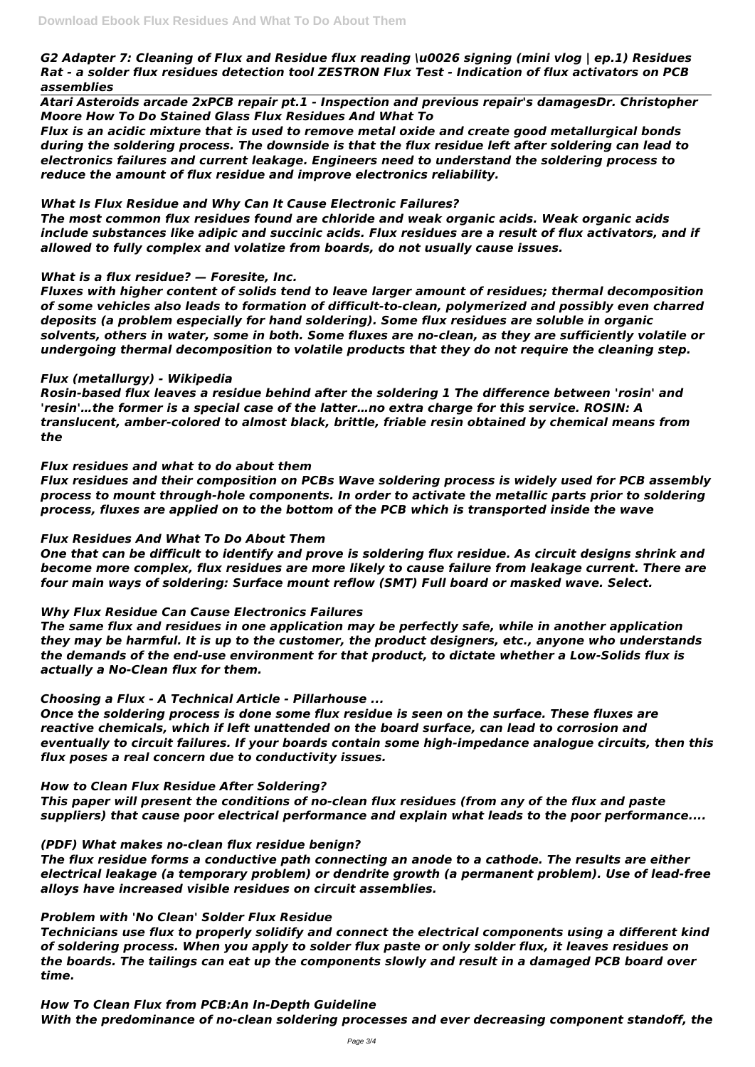## *G2 Adapter 7: Cleaning of Flux and Residue flux reading \u0026 signing (mini vlog | ep.1) Residues Rat - a solder flux residues detection tool ZESTRON Flux Test - Indication of flux activators on PCB assemblies*

*Atari Asteroids arcade 2xPCB repair pt.1 - Inspection and previous repair's damagesDr. Christopher Moore How To Do Stained Glass Flux Residues And What To*

*Flux is an acidic mixture that is used to remove metal oxide and create good metallurgical bonds during the soldering process. The downside is that the flux residue left after soldering can lead to electronics failures and current leakage. Engineers need to understand the soldering process to reduce the amount of flux residue and improve electronics reliability.*

## *What Is Flux Residue and Why Can It Cause Electronic Failures?*

*The most common flux residues found are chloride and weak organic acids. Weak organic acids include substances like adipic and succinic acids. Flux residues are a result of flux activators, and if allowed to fully complex and volatize from boards, do not usually cause issues.*

## *What is a flux residue? — Foresite, Inc.*

*Fluxes with higher content of solids tend to leave larger amount of residues; thermal decomposition of some vehicles also leads to formation of difficult-to-clean, polymerized and possibly even charred deposits (a problem especially for hand soldering). Some flux residues are soluble in organic solvents, others in water, some in both. Some fluxes are no-clean, as they are sufficiently volatile or undergoing thermal decomposition to volatile products that they do not require the cleaning step.*

## *Flux (metallurgy) - Wikipedia*

*Rosin-based flux leaves a residue behind after the soldering 1 The difference between 'rosin' and 'resin'…the former is a special case of the latter…no extra charge for this service. ROSIN: A translucent, amber-colored to almost black, brittle, friable resin obtained by chemical means from the*

## *Flux residues and what to do about them*

*Flux residues and their composition on PCBs Wave soldering process is widely used for PCB assembly process to mount through-hole components. In order to activate the metallic parts prior to soldering process, fluxes are applied on to the bottom of the PCB which is transported inside the wave*

## *Flux Residues And What To Do About Them*

*One that can be difficult to identify and prove is soldering flux residue. As circuit designs shrink and become more complex, flux residues are more likely to cause failure from leakage current. There are four main ways of soldering: Surface mount reflow (SMT) Full board or masked wave. Select.*

## *Why Flux Residue Can Cause Electronics Failures*

*The same flux and residues in one application may be perfectly safe, while in another application they may be harmful. It is up to the customer, the product designers, etc., anyone who understands the demands of the end-use environment for that product, to dictate whether a Low-Solids flux is actually a No-Clean flux for them.*

## *Choosing a Flux - A Technical Article - Pillarhouse ...*

*Once the soldering process is done some flux residue is seen on the surface. These fluxes are reactive chemicals, which if left unattended on the board surface, can lead to corrosion and eventually to circuit failures. If your boards contain some high-impedance analogue circuits, then this flux poses a real concern due to conductivity issues.*

## *How to Clean Flux Residue After Soldering?*

*This paper will present the conditions of no-clean flux residues (from any of the flux and paste*

*suppliers) that cause poor electrical performance and explain what leads to the poor performance....*

## *(PDF) What makes no-clean flux residue benign?*

*The flux residue forms a conductive path connecting an anode to a cathode. The results are either electrical leakage (a temporary problem) or dendrite growth (a permanent problem). Use of lead-free alloys have increased visible residues on circuit assemblies.*

## *Problem with 'No Clean' Solder Flux Residue*

*Technicians use flux to properly solidify and connect the electrical components using a different kind of soldering process. When you apply to solder flux paste or only solder flux, it leaves residues on the boards. The tailings can eat up the components slowly and result in a damaged PCB board over time.*

### *How To Clean Flux from PCB:An In-Depth Guideline*

*With the predominance of no-clean soldering processes and ever decreasing component standoff, the*